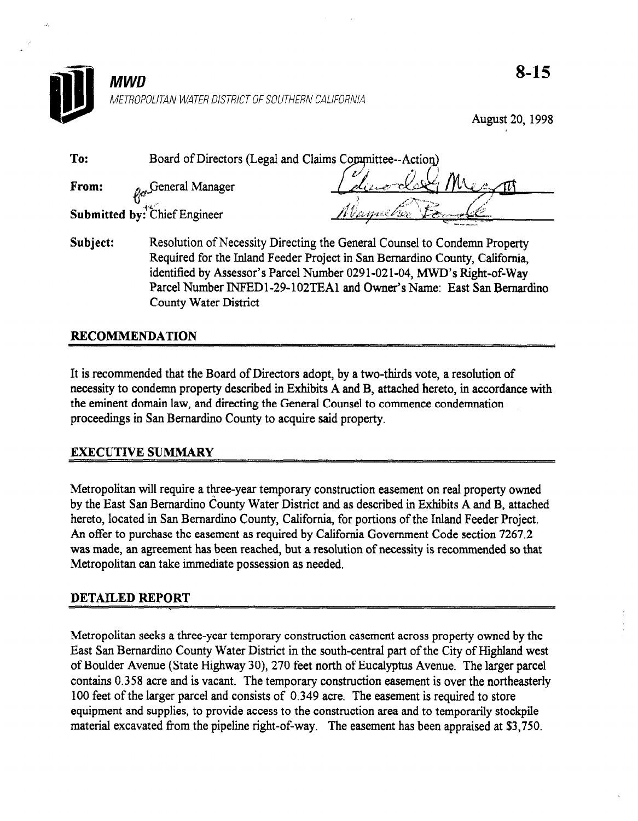

8-15

August 20, 1998

| To:                          | Board of Directors (Legal and Claims Committee--Action) |                |
|------------------------------|---------------------------------------------------------|----------------|
| From:                        | $\alpha$ General Manager                                | Liverlet Meant |
| Submitted by: Chief Engineer |                                                         | Wayneter Form  |

Subject: Resolution of Necessity Directing the General Counsel to Condemn Property Required for the Inland Feeder Project in San Bernardino County, California, identified by Assessor's Parcel Number 0291-021-04, MWD's Right-of-Way Parcel Number INFED1-29-102TEA1 and Owner's Name: East San Bernardino County Water District

## RECOMMENDATION

It is recommended that the Board of Directors adopt, by a two-thirds vote, a resolution of necessity to condemn property described in Exhibits A and B, attached hereto, in accordance with the eminent domain law, and directing the General Counsel to commence condemnation proceedings in San Bernardino County to acquire said property.

## EXECUTIVE SUMMARY

 $\mathcal{M}$  and the construction easement of require a three-year temporary construction easement on real property of by the Equipment San Bernardino County County County County County County Of the A and B, and B, at the  $\frac{1}{2}$ by the East San Bernardino County Water District and as described in Exhibits A and B, attached hereto, located in San Bernardino County, California, for portions of the Inland Feeder Project. An offer to purchase the easement as required by California Government Code section 7267.2 was made, an agreement has been reached, but a resolution of necessity is recommended so that Metropolitan can take immediate possession as needed.

Metropolitan seeks a three-year temporary construction easement across property owned by the East San Bernardino County Water District in the south-central part of the City of Highland west of Boulder Avenue (State Highway 30), 270 feet north of Eucalyptus Avenue. The larger parcel contains 0.358 acre and is vacant. The temporary construction easement is over the northeasterly 100 feet of the larger parcel and consists of  $0.349$  acre. The easement is required to store equipment and supplies, to provide access to the construction area and to temporarily stockpile material excavated from the pipeline right-of-way. The easement has been appraised at \$3,750.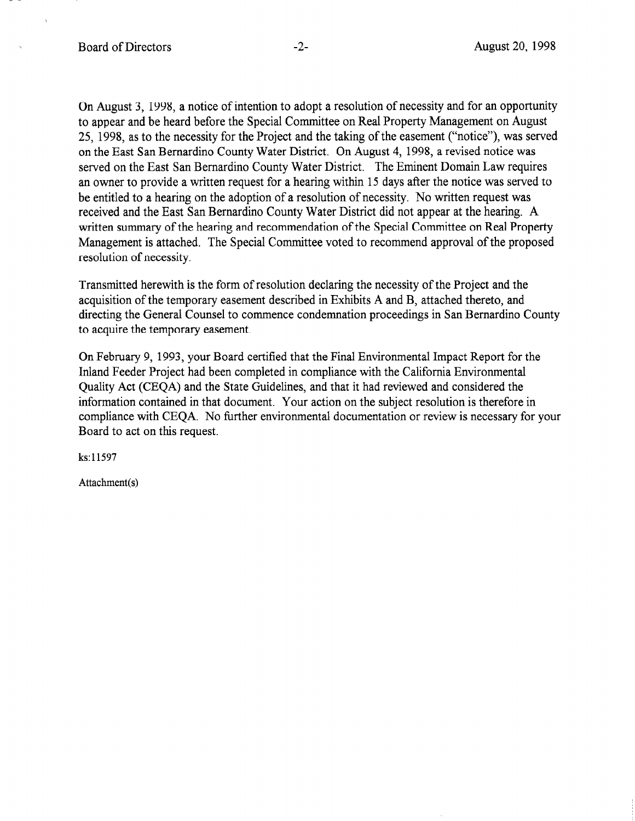On August 3, 1998, a notice of intention to adopt a resolution of necessity and for an opportunity to appear and be heard before the Special Committee on Real Property Management on August 25, 1998, as to the necessity for the Project and the taking of the easement ("notice"), was served on the East San Bernardino County Water District. On August 4, 1998, a revised notice was served on the East San Bernardino County Water District, The Eminent Domain Law requires an owner to provide a written request for a hearing within 15 days after the notice was served to be entitled to a hearing on the adoption of a resolution of necessity. No written request was received and the East San Bernardino County Water District did not appear at the hearing. A written summary of the hearing and recommendation of the Special Committee on Real Property Management is attached. The Special Committee voted to recommend approval of the proposed resolution of necessity.

Transmitted herewith is the form of resolution declaring the necessity of the Project and the acquisition of the temporary easement described in Exhibits A and B, attached thereto, and directing the General Counsel to commence condemnation proceedings in San Bernardino County to acquire the temporary easement.

On February 9, 1993, your Board certified that the Final Environmental Impact Report for the Inland Feeder Project had been completed in compliance with the California Environmental Quality Act (CEQA) and the State Guidelines, and that it had reviewed and considered the information contained in that document. Your action on the subject resolution is therefore in compliance with CEQA. No further environmental documentation or review is necessary for your Board to act on this request.

ks:11597

Attachment(s)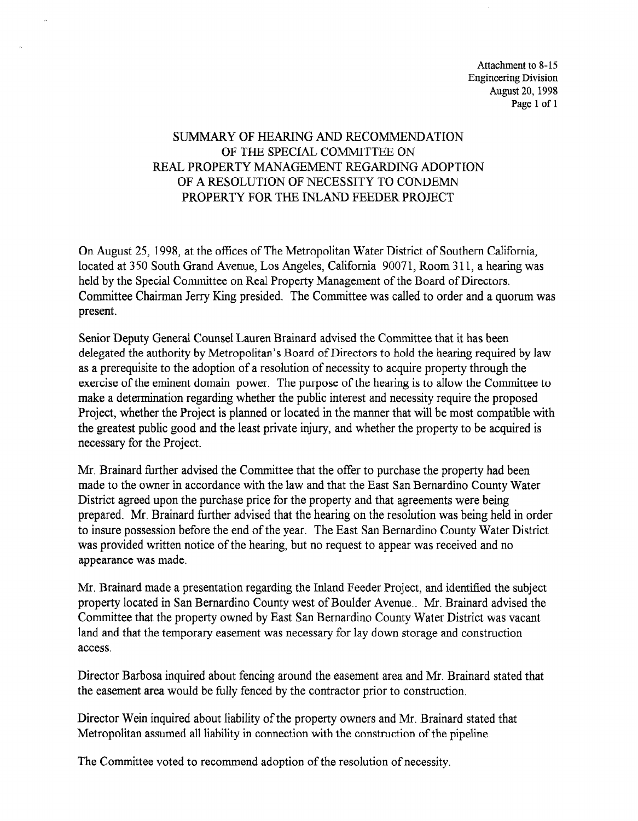Attachment to 8-15 Engineering Division August 20, 1998 Page 1 of 1

## SUMMARY OF HEARING AND RECOMMENDATION OF THE SPECIAL COMMITTEE ON REAL PROPERTY MANAGEMENT REGARDING ADOPTION OF A RESOLUTION OF NECESSITY TO CONDEMN PROPERTY FOR THE INLAND FEEDER PROJECT

On August 25, 1998, at the offices of The Metropolitan Water District of Southern California, located at 350 South Grand Avenue, Los Angeles, California 90071, Room 311, a hearing was held by the Special Committee on Real Property Management of the Board of Directors. Committee Chairman Jerry Ring presided. The Committee was called to order and a quorum was present.

Senior Deputy General Counsel Lauren Brainard advised the Committee that it has been delegated the authority by Metropolitan's Board of Directors to hold the hearing required by law as a prerequisite to the adoption of a resolution of necessity to acquire property through the exercise of the eminent domain power. The purpose of the hearing is to allow the Committee to make a determination regarding whether the public interest and necessity require the proposed Project, whether the Project is planned or located in the manner that will be most compatible with the greatest public good and the least private injury, and whether the property to be acquired is necessary for the Project.

Mr. Brainard further advised the Committee that the offer to purchase the property had been with prairiard further advised the Committee that the oner to purchase the property had been made to the owner in accordance with the law and that the East San Bernardino County Water District agreed upon the purchase price for the property and that agreements were being prepared. Mr. Brainard further advised that the hearing on the resolution was being held in order to insure possession before the end of the year. The East San Bernardino County Water District was provided written notice of the hearing, but no request to appear was received and no appearance was made.

Mr. Brainard made a presentation regarding the Inland Feeder Project, and identified the subject property located in San Bernardino County west of Boulder Avenue.. Mr. Brainard advised the Committee that the property owned by East San Bernardino County Water District was vacant land and that the temporary easement was necessary for lay down storage and construction access.

Director Barbosa inquired about fencing around the easement area and Mr. Brainard stated that the easement area would be fully fenced by the contractor prior to construction.

Director Wein inquired about liability of the property owners and Mr. Brainard stated that Metropolitan assumed all liability in connection with the construction of the pipeline.

The Committee voted to recommend adoption of the resolution of necessity.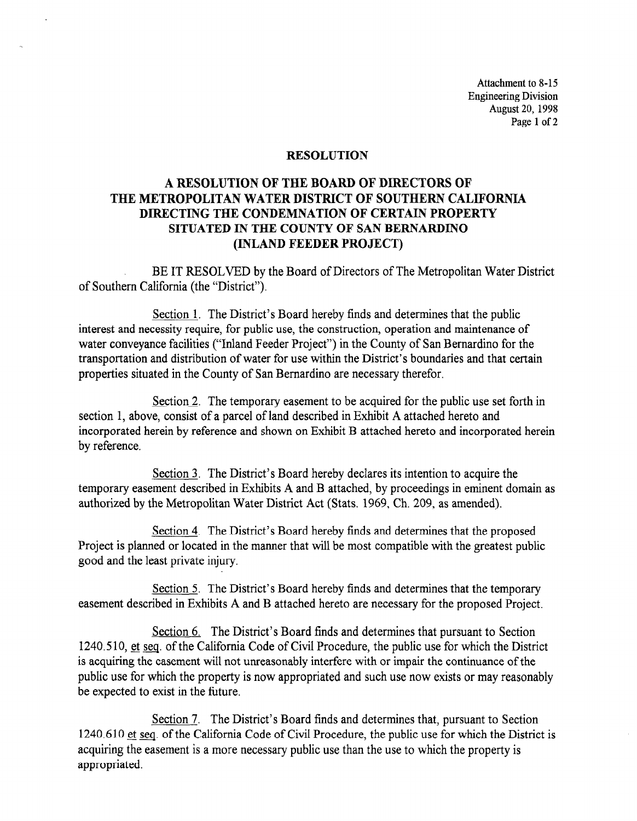Attachment to 8-15 Engineering Division August 20,1998 Page 1 of 2

### RESOLUTION

## A RESOLUTION OF THE BOARD OF DIRECTORS OF THE METROPOLITAN WATER DISTRICT OF SOUTHERN CALIFORNIA DIRECTING THE CONDEMNATION OF CERTAIN PROPERTY SITUATED IN THE COUNTY OF SAN BERNARDINO (INLAND FEEDER PROJECT)

BE IT RESOLVED by the Board of Directors of The Metropolitan Water District of Southern California (the "District").

Section 1. The District's Board hereby finds and determines that the public interest and necessity require, for public use, the construction, operation and maintenance of water conveyance facilities ("Inland Feeder Project") in the County of San Bernardino for the transportation and distribution of water for use within the District's boundaries and that certain properties situated in the County of San Bernardino are necessary therefor.

Section 2. The temporary easement to be acquired for the public use set forth in section 1, above, consist of a parcel of land described in Exhibit A attached hereto and incorporated herein by reference and shown on Exhibit B attached hereto and incorporated herein by reference.

Section 3. The District's Board hereby declares its intention to acquire the  $t_{\text{S}\text{C}\text{U}\text{O}\text{I}}$  in Exhibits Board hereby declares its intention to acquire the temporary easement described in Exhibits  $A$  and  $B$  attached, by proceedings in emment

Section 4. The District's Board hereby finds and determines that the proposed Project is planned or located in the manner that will be most compatible with the greatest public good and the least private injury.

Section 5. The District's Board hereby finds and determines that the temporary easement described in Exhibits A and B attached hereto are necessary for the proposed Project.

Section 6. The District's Board finds and determines that pursuant to Section 1240.510, et seq. of the California Code of Civil Procedure, the public use for which the District is acquiring the easement will not unreasonably interfere with or impair the continuance of the public use for which the property is now appropriated and such use now exists or may reasonably be expected to exist in the future.

Section 7. The District's Board finds and determines that, pursuant to Section 1240.610 et seq. of the California Code of Civil Procedure, the public use for which the District is acquiring the easement is a more necessary public use than the use to which the property is appropriated.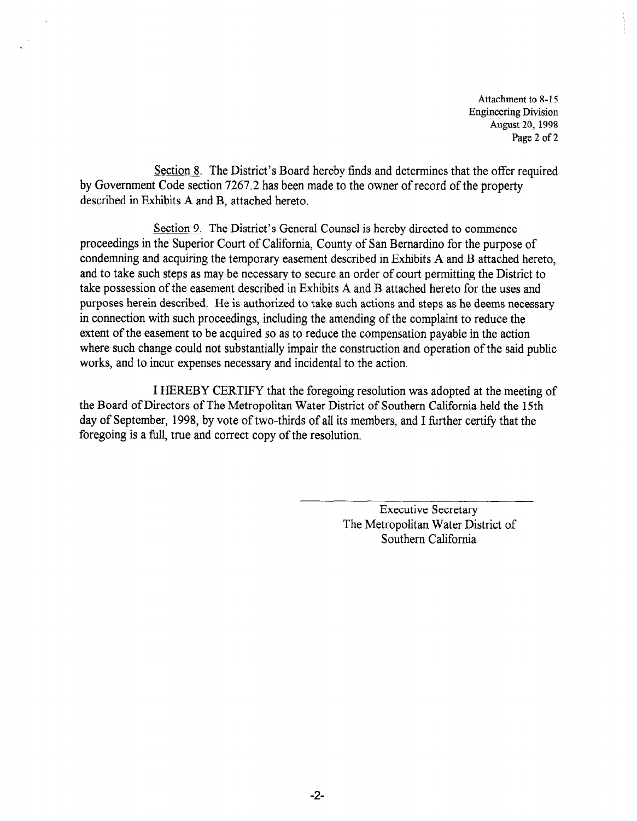Attachment to 8-15 Engineering Division August 20, 1998 Page 2 of 2

Section 8. The District's Board hereby finds and determines that the offer required by Government Code section 7267.2 has been made to the owner of record of the property described in Exhibits A and B, attached hereto.

Section 9. The District's General Counsel is hereby directed to commence proceedings in the Superior Court of California, County of San Bernardino for the purpose of condemning and acquiring the temporary easement described in Exhibits A and B attached hereto, and to take such steps as may be necessary to secure an order of court permitting the District to take possession of the easement described in Exhibits A and B attached hereto for the uses and purposes herein described. He is authorized to take such actions and steps as he deems necessary in connection with such proceedings, including the amending of the complaint to reduce the extent of the easement to be acquired so as to reduce the compensation payable in the action where such change could not substantially impair the construction and operation of the said public works, and to incur expenses necessary and incidental to the action.

I HEREBY CERTIFY that the foregoing resolution was adopted at the meeting of the Board of Directors of The Metropolitan Water District of Southern California held the 15th day of September, 1998, by vote of two-thirds of all its members, and I further certify that the foregoing is a full, true and correct copy of the resolution.

> Executive Secretary  $\frac{1}{2}$  Executive Secretary The Metropolitan Water District of<br>Southern California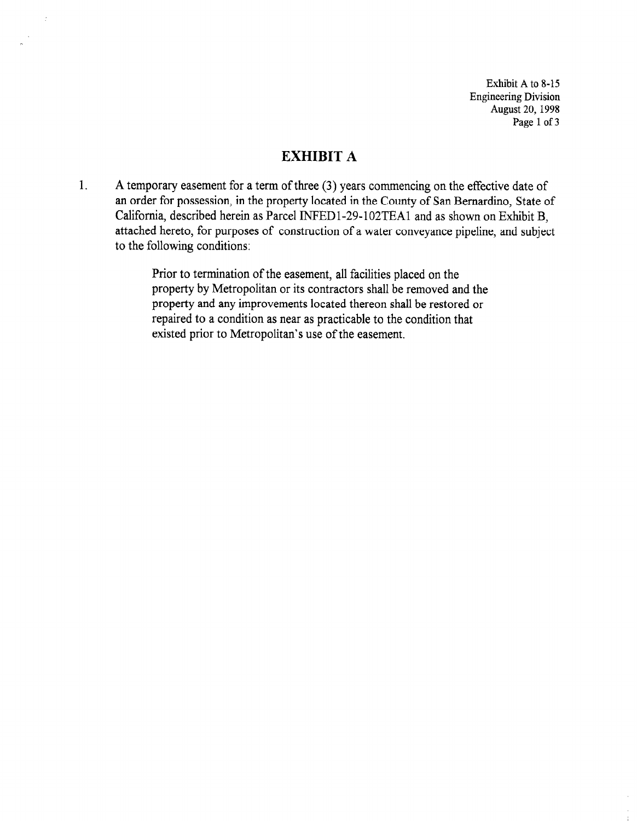Exhibit A to 8-15 Engineering Division August 20, 1998 Page 1 of 3

# EXHIBIT A

 $\boldsymbol{\gamma}$ 

1. A temporary easement for a term of three (3) years commencing on the effective date of an order for possession, in the property located in the County of San Bernardino, State of California, described herein as Parcel INFED l-29- 102TEAl and as shown on Exhibit B, attached hereto, for purposes of construction of a water conveyance pipeline, and subject to the following conditions:

> Prior to termination of the easement, all facilities placed on the property by Metropolitan or its contractors shall be removed and the property and any improvements located thereon shall be restored or repaired to a condition as near as practicable to the condition that existed prior to Metropolitan's use of the easement.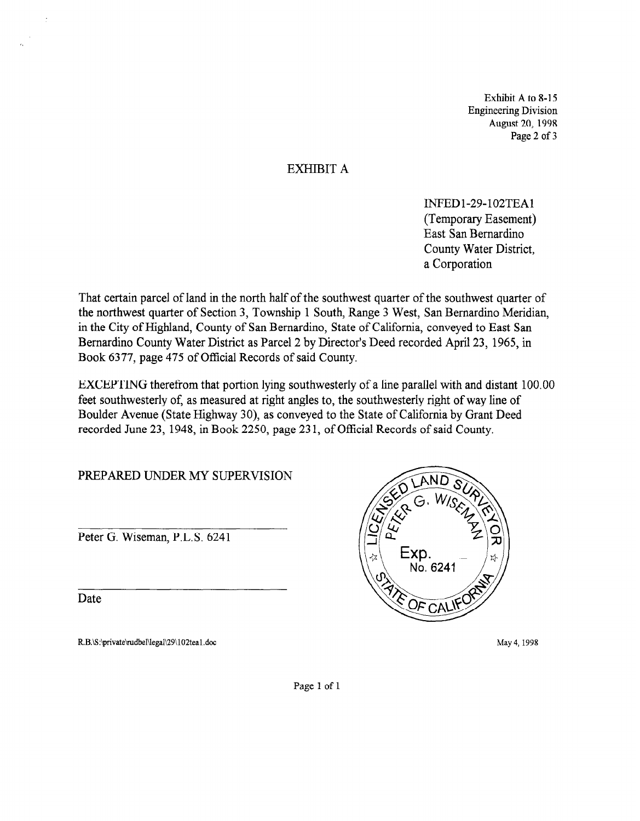Exhibit A to 8-15 Engineering Division August 20, 1998 Page 2 of 3

## EXHIBIT A

INFEDl-29-102TEAl (Temporary Easement) East San Bernardino County Water District, a Corporation

That certain parcel of land in the north half of the southwest quarter of the southwest quarter of the northwest quarter of Section 3, Township 1 South, Range 3 West, San Bernardino Meridian, in the City of Highland, County of San Bernardino, State of California, conveyed to East San Bernardino County Water District as Parcel 2 by Director's Deed recorded April 23, 1965, in Book 6377, page 475 of Official Records of said County.

EXCEPTING therefrom that portion lying southwesterly of a line parallel with and distant 100.00 feet southwesterly of, as measured at right angles to, the southwesterly right of way line of Boulder Avenue (State Highway 30) as conveyed to the State of California by Grant Deed recorded June 23, 1948, in Book 2250, page 23 1, of Official Records of said County.

PREPARED UNDER MY SUPERVISION

Peter G. Wiseman, P.L.S. 6241

Date

R.B.\S:\private\rudbel\legal\29\102tea1.doc



May 4, 1998

Page 1 of 1